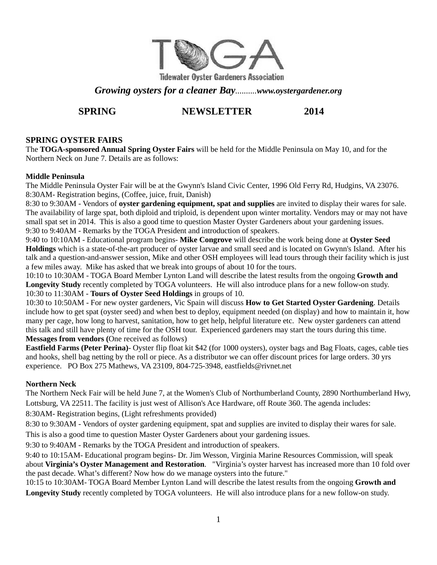

*Growing oysters for a cleaner Bay..........www.oystergardener.org* 

# **SPRING NEWSLETTER** 2014

#### **SPRING OYSTER FAIRS**

The **TOGA-sponsored Annual Spring Oyster Fairs** will be held for the Middle Peninsula on May 10, and for the Northern Neck on June 7. Details are as follows:

#### **Middle Peninsula**

The Middle Peninsula Oyster Fair will be at the Gwynn's Island Civic Center, 1996 Old Ferry Rd, Hudgins, VA 23076. 8:30AM- Registration begins, (Coffee, juice, fruit, Danish)

8:30 to 9:30AM - Vendors of **oyster gardening equipment, spat and supplies** are invited to display their wares for sale. The availability of large spat, both diploid and triploid, is dependent upon winter mortality. Vendors may or may not have small spat set in 2014. This is also a good time to question Master Oyster Gardeners about your gardening issues. 9:30 to 9:40AM - Remarks by the TOGA President and introduction of speakers.

9:40 to 10:10AM - Educational program begins- **Mike Congrove** will describe the work being done at **Oyster Seed Holdings** which is a state-of-the-art producer of oyster larvae and small seed and is located on Gwynn's Island. After his talk and a question-and-answer session, Mike and other OSH employees will lead tours through their facility which is just a few miles away. Mike has asked that we break into groups of about 10 for the tours.

10:10 to 10:30AM - TOGA Board Member Lynton Land will describe the latest results from the ongoing **Growth and Longevity Study** recently completed by TOGA volunteers. He will also introduce plans for a new follow-on study. 10:30 to 11:30AM - **Tours of Oyster Seed Holdings** in groups of 10.

10:30 to 10:50AM - For new oyster gardeners, Vic Spain will discuss **How to Get Started Oyster Gardening**. Details include how to get spat (oyster seed) and when best to deploy, equipment needed (on display) and how to maintain it, how many per cage, how long to harvest, sanitation, how to get help, helpful literature etc. New oyster gardeners can attend this talk and still have plenty of time for the OSH tour. Experienced gardeners may start the tours during this time. **Messages from vendors (**One received as follows)

**Eastfield Farms (Peter Perina)**- Oyster flip float kit \$42 (for 1000 oysters), oyster bags and Bag Floats, cages, cable ties and hooks, shell bag netting by the roll or piece. As a distributor we can offer discount prices for large orders. 30 yrs experience. PO Box 275 Mathews, VA 23109, 804-725-3948, eastfields@rivnet.net

#### **Northern Neck**

The Northern Neck Fair will be held June 7, at the Women's Club of Northumberland County, 2890 Northumberland Hwy, Lottsburg, VA 22511. The facility is just west of Allison's Ace Hardware, off Route 360. The agenda includes:

8:30AM- Registration begins, (Light refreshments provided)

8:30 to 9:30AM - Vendors of oyster gardening equipment, spat and supplies are invited to display their wares for sale. This is also a good time to question Master Oyster Gardeners about your gardening issues.

9:30 to 9:40AM - Remarks by the TOGA President and introduction of speakers.

9:40 to 10:15AM- Educational program begins- Dr. Jim Wesson, Virginia Marine Resources Commission, will speak about **Virginia's Oyster Management and Restoration**. "Virginia's oyster harvest has increased more than 10 fold over the past decade. What's different? Now how do we manage oysters into the future."

10:15 to 10:30AM- TOGA Board Member Lynton Land will describe the latest results from the ongoing **Growth and Longevity Study** recently completed by TOGA volunteers. He will also introduce plans for a new follow-on study.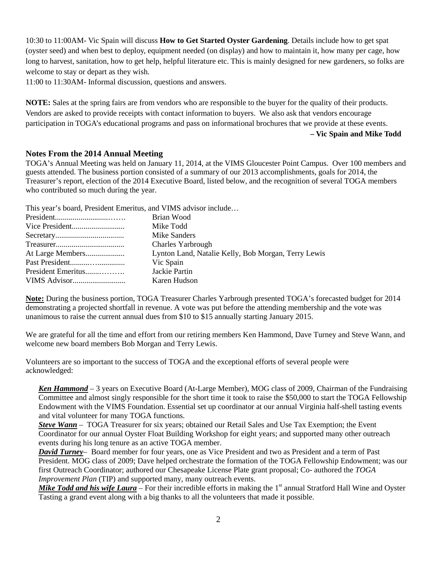10:30 to 11:00AM- Vic Spain will discuss **How to Get Started Oyster Gardening**. Details include how to get spat (oyster seed) and when best to deploy, equipment needed (on display) and how to maintain it, how many per cage, how long to harvest, sanitation, how to get help, helpful literature etc. This is mainly designed for new gardeners, so folks are welcome to stay or depart as they wish.

11:00 to 11:30AM- Informal discussion, questions and answers.

**NOTE:** Sales at the spring fairs are from vendors who are responsible to the buyer for the quality of their products. Vendors are asked to provide receipts with contact information to buyers. We also ask that vendors encourage participation in TOGA's educational programs and pass on informational brochures that we provide at these events.

#### **– Vic Spain and Mike Todd**

#### **Notes From the 2014 Annual Meeting**

TOGA's Annual Meeting was held on January 11, 2014, at the VIMS Gloucester Point Campus. Over 100 members and guests attended. The business portion consisted of a summary of our 2013 accomplishments, goals for 2014, the Treasurer's report, election of the 2014 Executive Board, listed below, and the recognition of several TOGA members who contributed so much during the year.

This year's board, President Emeritus, and VIMS advisor include…

|                    | Brian Wood                                          |
|--------------------|-----------------------------------------------------|
|                    | Mike Todd                                           |
|                    | Mike Sanders                                        |
|                    | <b>Charles Yarbrough</b>                            |
|                    | Lynton Land, Natalie Kelly, Bob Morgan, Terry Lewis |
|                    | Vic Spain                                           |
| President Emeritus | Jackie Partin                                       |
|                    | Karen Hudson                                        |

**Note:** During the business portion, TOGA Treasurer Charles Yarbrough presented TOGA's forecasted budget for 2014 demonstrating a projected shortfall in revenue. A vote was put before the attending membership and the vote was unanimous to raise the current annual dues from \$10 to \$15 annually starting January 2015.

We are grateful for all the time and effort from our retiring members Ken Hammond, Dave Turney and Steve Wann, and welcome new board members Bob Morgan and Terry Lewis.

Volunteers are so important to the success of TOGA and the exceptional efforts of several people were acknowledged:

*Ken Hammond* – 3 years on Executive Board (At-Large Member), MOG class of 2009, Chairman of the Fundraising Committee and almost singly responsible for the short time it took to raise the \$50,000 to start the TOGA Fellowship Endowment with the VIMS Foundation. Essential set up coordinator at our annual Virginia half-shell tasting events and vital volunteer for many TOGA functions.

*Steve Wann* – TOGA Treasurer for six years; obtained our Retail Sales and Use Tax Exemption; the Event Coordinator for our annual Oyster Float Building Workshop for eight years; and supported many other outreach events during his long tenure as an active TOGA member.

*David Turney*– Board member for four years, one as Vice President and two as President and a term of Past President. MOG class of 2009; Dave helped orchestrate the formation of the TOGA Fellowship Endowment; was our first Outreach Coordinator; authored our Chesapeake License Plate grant proposal; Co- authored the *TOGA Improvement Plan* (TIP) and supported many, many outreach events.

*Mike Todd and his wife Laura* – For their incredible efforts in making the 1<sup>st</sup> annual Stratford Hall Wine and Oyster Tasting a grand event along with a big thanks to all the volunteers that made it possible.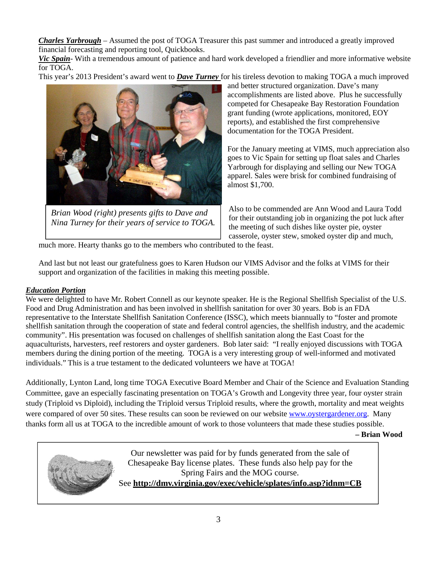*Charles Yarbrough* – Assumed the post of TOGA Treasurer this past summer and introduced a greatly improved financial forecasting and reporting tool, Quickbooks.

*Vic Spain*- With a tremendous amount of patience and hard work developed a friendlier and more informative website for TOGA.

This year's 2013 President's award went to *Dave Turney* for his tireless devotion to making TOGA a much improved



*Brian Wood (right) presents gifts to Dave and Nina Turney for their years of service to TOGA.* 

and better structured organization. Dave's many accomplishments are listed above. Plus he successfully competed for Chesapeake Bay Restoration Foundation grant funding (wrote applications, monitored, EOY reports), and established the first comprehensive documentation for the TOGA President.

For the January meeting at VIMS, much appreciation also goes to Vic Spain for setting up float sales and Charles Yarbrough for displaying and selling our New TOGA apparel. Sales were brisk for combined fundraising of almost \$1,700.

Also to be commended are Ann Wood and Laura Todd for their outstanding job in organizing the pot luck after the meeting of such dishes like oyster pie, oyster casserole, oyster stew, smoked oyster dip and much,

much more. Hearty thanks go to the members who contributed to the feast.

And last but not least our gratefulness goes to Karen Hudson our VIMS Advisor and the folks at VIMS for their support and organization of the facilities in making this meeting possible.

#### *Education Portion*

We were delighted to have Mr. Robert Connell as our keynote speaker. He is the Regional Shellfish Specialist of the U.S. Food and Drug Administration and has been involved in shellfish sanitation for over 30 years. Bob is an FDA representative to the Interstate Shellfish Sanitation Conference (ISSC), which meets biannually to "foster and promote shellfish sanitation through the cooperation of state and federal control agencies, the shellfish industry, and the academic community". His presentation was focused on challenges of shellfish sanitation along the East Coast for the aquaculturists, harvesters, reef restorers and oyster gardeners. Bob later said: "I really enjoyed discussions with TOGA members during the dining portion of the meeting. TOGA is a very interesting group of well-informed and motivated individuals." This is a true testament to the dedicated volunteers we have at TOGA!

Additionally, Lynton Land, long time TOGA Executive Board Member and Chair of the Science and Evaluation Standing Committee, gave an especially fascinating presentation on TOGA's Growth and Longevity three year, four oyster strain study (Triploid vs Diploid), including the Triploid versus Triploid results, where the growth, mortality and meat weights were compared of over 50 sites. These results can soon be reviewed on our website www.oystergardener.org. Many thanks form all us at TOGA to the incredible amount of work to those volunteers that made these studies possible.

 **– Brian Wood** 



Our newsletter was paid for by funds generated from the sale of Chesapeake Bay license plates. These funds also help pay for the Spring Fairs and the MOG course. See **http://dmv.virginia.gov/exec/vehicle/splates/info.asp?idnm=CB**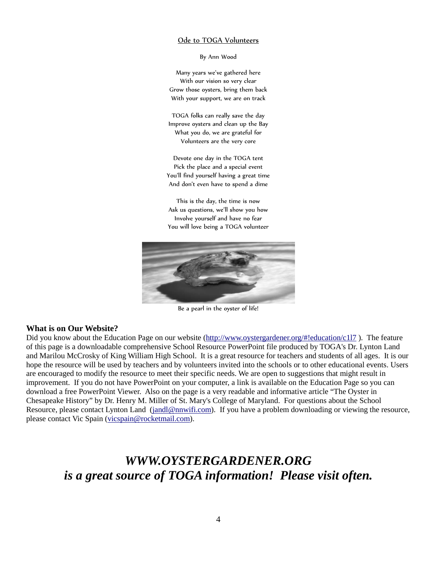#### Ode to TOGA Volunteers

By Ann Wood

Many years we've gathered here With our vision so very clear Grow those oysters, bring them back With your support, we are on track

TOGA folks can really save the day Improve oysters and clean up the Bay What you do, we are grateful for Volunteers are the very core

Devote one day in the TOGA tent Pick the place and a special event You'll find yourself having a great time And don't even have to spend a dime

This is the day, the time is now Ask us questions, we'll show you how Involve yourself and have no fear You will love being a TOGA volunteer



Be a pearl in the oyster of life!

#### **What is on Our Website?**

Did you know about the Education Page on our website (http://www.oystergardener.org/#!education/c1l7). The feature of this page is a downloadable comprehensive School Resource PowerPoint file produced by TOGA's Dr. Lynton Land and Marilou McCrosky of King William High School. It is a great resource for teachers and students of all ages. It is our hope the resource will be used by teachers and by volunteers invited into the schools or to other educational events. Users are encouraged to modify the resource to meet their specific needs. We are open to suggestions that might result in improvement. If you do not have PowerPoint on your computer, a link is available on the Education Page so you can download a free PowerPoint Viewer. Also on the page is a very readable and informative article "The Oyster in Chesapeake History" by Dr. Henry M. Miller of St. Mary's College of Maryland. For questions about the School Resource, please contact Lynton Land (jandl@nnwifi.com). If you have a problem downloading or viewing the resource, please contact Vic Spain (vicspain@rocketmail.com).

# *WWW.OYSTERGARDENER.ORG is a great source of TOGA information! Please visit often.*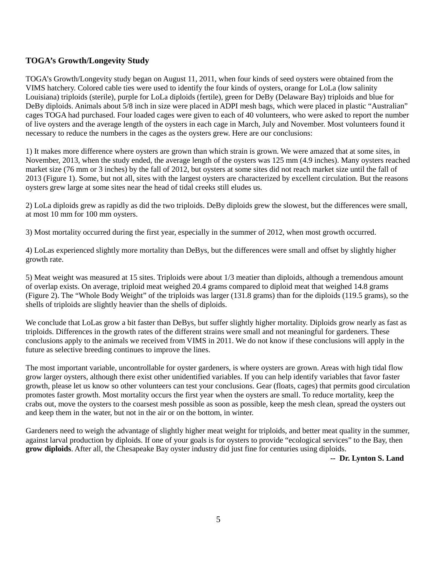# **TOGA's Growth/Longevity Study**

TOGA's Growth/Longevity study began on August 11, 2011, when four kinds of seed oysters were obtained from the VIMS hatchery. Colored cable ties were used to identify the four kinds of oysters, orange for LoLa (low salinity Louisiana) triploids (sterile), purple for LoLa diploids (fertile), green for DeBy (Delaware Bay) triploids and blue for DeBy diploids. Animals about 5/8 inch in size were placed in ADPI mesh bags, which were placed in plastic "Australian" cages TOGA had purchased. Four loaded cages were given to each of 40 volunteers, who were asked to report the number of live oysters and the average length of the oysters in each cage in March, July and November. Most volunteers found it necessary to reduce the numbers in the cages as the oysters grew. Here are our conclusions:

1) It makes more difference where oysters are grown than which strain is grown. We were amazed that at some sites, in November, 2013, when the study ended, the average length of the oysters was 125 mm (4.9 inches). Many oysters reached market size (76 mm or 3 inches) by the fall of 2012, but oysters at some sites did not reach market size until the fall of 2013 (Figure 1). Some, but not all, sites with the largest oysters are characterized by excellent circulation. But the reasons oysters grew large at some sites near the head of tidal creeks still eludes us.

2) LoLa diploids grew as rapidly as did the two triploids. DeBy diploids grew the slowest, but the differences were small, at most 10 mm for 100 mm oysters.

3) Most mortality occurred during the first year, especially in the summer of 2012, when most growth occurred.

4) LoLas experienced slightly more mortality than DeBys, but the differences were small and offset by slightly higher growth rate.

5) Meat weight was measured at 15 sites. Triploids were about 1/3 meatier than diploids, although a tremendous amount of overlap exists. On average, triploid meat weighed 20.4 grams compared to diploid meat that weighed 14.8 grams (Figure 2). The "Whole Body Weight" of the triploids was larger (131.8 grams) than for the diploids (119.5 grams), so the shells of triploids are slightly heavier than the shells of diploids.

We conclude that LoLas grow a bit faster than DeBys, but suffer slightly higher mortality. Diploids grow nearly as fast as triploids. Differences in the growth rates of the different strains were small and not meaningful for gardeners. These conclusions apply to the animals we received from VIMS in 2011. We do not know if these conclusions will apply in the future as selective breeding continues to improve the lines.

The most important variable, uncontrollable for oyster gardeners, is where oysters are grown. Areas with high tidal flow grow larger oysters, although there exist other unidentified variables. If you can help identify variables that favor faster growth, please let us know so other volunteers can test your conclusions. Gear (floats, cages) that permits good circulation promotes faster growth. Most mortality occurs the first year when the oysters are small. To reduce mortality, keep the crabs out, move the oysters to the coarsest mesh possible as soon as possible, keep the mesh clean, spread the oysters out and keep them in the water, but not in the air or on the bottom, in winter.

Gardeners need to weigh the advantage of slightly higher meat weight for triploids, and better meat quality in the summer, against larval production by diploids. If one of your goals is for oysters to provide "ecological services" to the Bay, then **grow diploids**. After all, the Chesapeake Bay oyster industry did just fine for centuries using diploids.

**-- Dr. Lynton S. Land**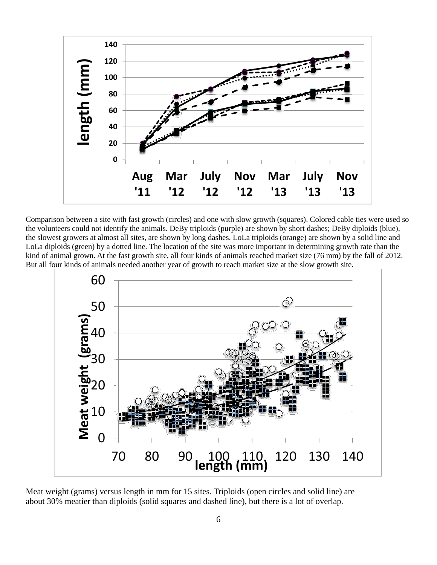

Comparison between a site with fast growth (circles) and one with slow growth (squares). Colored cable ties were used so the volunteers could not identify the animals. DeBy triploids (purple) are shown by short dashes; DeBy diploids (blue), the slowest growers at almost all sites, are shown by long dashes. LoLa triploids (orange) are shown by a solid line and LoLa diploids (green) by a dotted line. The location of the site was more important in determining growth rate than the kind of animal grown. At the fast growth site, all four kinds of animals reached market size (76 mm) by the fall of 2012. But all four kinds of animals needed another year of growth to reach market size at the slow growth site.



Meat weight (grams) versus length in mm for 15 sites. Triploids (open circles and solid line) are about 30% meatier than diploids (solid squares and dashed line), but there is a lot of overlap.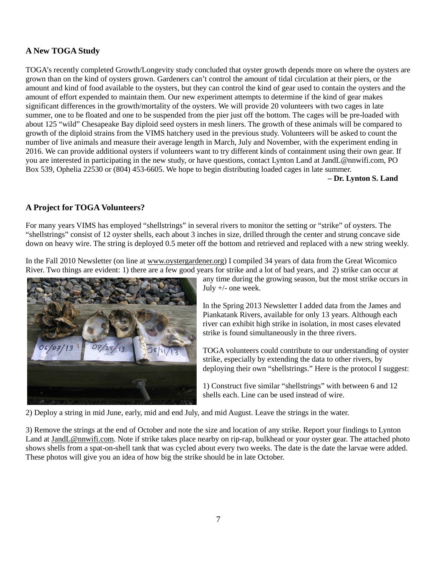# **A New TOGA Study**

TOGA's recently completed Growth/Longevity study concluded that oyster growth depends more on where the oysters are grown than on the kind of oysters grown. Gardeners can't control the amount of tidal circulation at their piers, or the amount and kind of food available to the oysters, but they can control the kind of gear used to contain the oysters and the amount of effort expended to maintain them. Our new experiment attempts to determine if the kind of gear makes significant differences in the growth/mortality of the oysters. We will provide 20 volunteers with two cages in late summer, one to be floated and one to be suspended from the pier just off the bottom. The cages will be pre-loaded with about 125 "wild" Chesapeake Bay diploid seed oysters in mesh liners. The growth of these animals will be compared to growth of the diploid strains from the VIMS hatchery used in the previous study. Volunteers will be asked to count the number of live animals and measure their average length in March, July and November, with the experiment ending in 2016. We can provide additional oysters if volunteers want to try different kinds of containment using their own gear. If you are interested in participating in the new study, or have questions, contact Lynton Land at JandL@nnwifi.com, PO Box 539, Ophelia 22530 or (804) 453-6605. We hope to begin distributing loaded cages in late summer.

**– Dr. Lynton S. Land**

### **A Project for TOGA Volunteers?**

For many years VIMS has employed "shellstrings" in several rivers to monitor the setting or "strike" of oysters. The "shellstrings" consist of 12 oyster shells, each about 3 inches in size, drilled through the center and strung concave side down on heavy wire. The string is deployed 0.5 meter off the bottom and retrieved and replaced with a new string weekly.

In the Fall 2010 Newsletter (on line at www.oystergardener.org) I compiled 34 years of data from the Great Wicomico River. Two things are evident: 1) there are a few good years for strike and a lot of bad years, and 2) strike can occur at



any time during the growing season, but the most strike occurs in July +/- one week.

In the Spring 2013 Newsletter I added data from the James and Piankatank Rivers, available for only 13 years. Although each river can exhibit high strike in isolation, in most cases elevated strike is found simultaneously in the three rivers.

TOGA volunteers could contribute to our understanding of oyster strike, especially by extending the data to other rivers, by deploying their own "shellstrings." Here is the protocol I suggest:

1) Construct five similar "shellstrings" with between 6 and 12 shells each. Line can be used instead of wire.

2) Deploy a string in mid June, early, mid and end July, and mid August. Leave the strings in the water.

3) Remove the strings at the end of October and note the size and location of any strike. Report your findings to Lynton Land at JandL@nnwifi.com. Note if strike takes place nearby on rip-rap, bulkhead or your oyster gear. The attached photo shows shells from a spat-on-shell tank that was cycled about every two weeks. The date is the date the larvae were added. These photos will give you an idea of how big the strike should be in late October.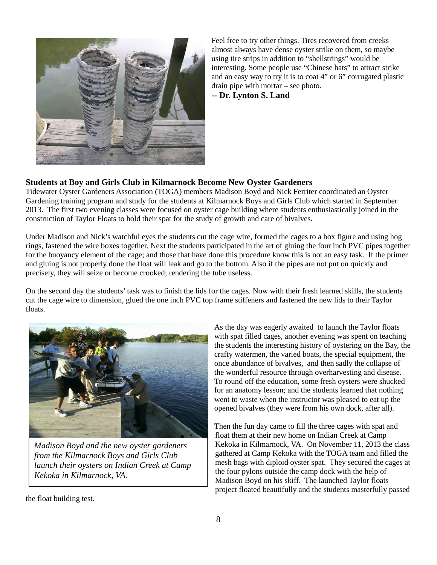

Feel free to try other things. Tires recovered from creeks almost always have dense oyster strike on them, so maybe using tire strips in addition to "shellstrings" would be interesting. Some people use "Chinese hats" to attract strike and an easy way to try it is to coat 4" or 6" corrugated plastic drain pipe with mortar – see photo. **-- Dr. Lynton S. Land**

# **Students at Boy and Girls Club in Kilmarnock Become New Oyster Gardeners**

Tidewater Oyster Gardeners Association (TOGA) members Madison Boyd and Nick Ferriter coordinated an Oyster Gardening training program and study for the students at Kilmarnock Boys and Girls Club which started in September 2013. The first two evening classes were focused on oyster cage building where students enthusiastically joined in the construction of Taylor Floats to hold their spat for the study of growth and care of bivalves.

Under Madison and Nick's watchful eyes the students cut the cage wire, formed the cages to a box figure and using hog rings, fastened the wire boxes together. Next the students participated in the art of gluing the four inch PVC pipes together for the buoyancy element of the cage; and those that have done this procedure know this is not an easy task. If the primer and gluing is not properly done the float will leak and go to the bottom. Also if the pipes are not put on quickly and precisely, they will seize or become crooked; rendering the tube useless.

On the second day the students' task was to finish the lids for the cages. Now with their fresh learned skills, the students cut the cage wire to dimension, glued the one inch PVC top frame stiffeners and fastened the new lids to their Taylor floats.



*Madison Boyd and the new oyster gardeners from the Kilmarnock Boys and Girls Club launch their oysters on Indian Creek at Camp Kekoka in Kilmarnock, VA.* 

As the day was eagerly awaited to launch the Taylor floats with spat filled cages, another evening was spent on teaching the students the interesting history of oystering on the Bay, the crafty watermen, the varied boats, the special equipment, the once abundance of bivalves, and then sadly the collapse of the wonderful resource through overharvesting and disease. To round off the education, some fresh oysters were shucked for an anatomy lesson; and the students learned that nothing went to waste when the instructor was pleased to eat up the opened bivalves (they were from his own dock, after all).

Then the fun day came to fill the three cages with spat and float them at their new home on Indian Creek at Camp Kekoka in Kilmarnock, VA. On November 11, 2013 the class gathered at Camp Kekoka with the TOGA team and filled the mesh bags with diploid oyster spat. They secured the cages at the four pylons outside the camp dock with the help of Madison Boyd on his skiff. The launched Taylor floats project floated beautifully and the students masterfully passed

the float building test.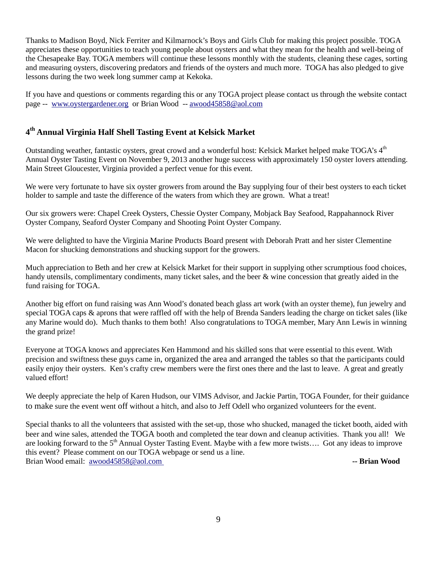Thanks to Madison Boyd, Nick Ferriter and Kilmarnock's Boys and Girls Club for making this project possible. TOGA appreciates these opportunities to teach young people about oysters and what they mean for the health and well-being of the Chesapeake Bay. TOGA members will continue these lessons monthly with the students, cleaning these cages, sorting and measuring oysters, discovering predators and friends of the oysters and much more. TOGA has also pledged to give lessons during the two week long summer camp at Kekoka.

If you have and questions or comments regarding this or any TOGA project please contact us through the website contact page -- www.oystergardener.org or Brian Wood -- awood45858@aol.com

# **4 th Annual Virginia Half Shell Tasting Event at Kelsick Market**

Outstanding weather, fantastic ovsters, great crowd and a wonderful host: Kelsick Market helped make TOGA's 4<sup>th</sup> Annual Oyster Tasting Event on November 9, 2013 another huge success with approximately 150 oyster lovers attending. Main Street Gloucester, Virginia provided a perfect venue for this event.

We were very fortunate to have six oyster growers from around the Bay supplying four of their best oysters to each ticket holder to sample and taste the difference of the waters from which they are grown. What a treat!

Our six growers were: Chapel Creek Oysters, Chessie Oyster Company, Mobjack Bay Seafood, Rappahannock River Oyster Company, Seaford Oyster Company and Shooting Point Oyster Company.

We were delighted to have the Virginia Marine Products Board present with Deborah Pratt and her sister Clementine Macon for shucking demonstrations and shucking support for the growers.

Much appreciation to Beth and her crew at Kelsick Market for their support in supplying other scrumptious food choices, handy utensils, complimentary condiments, many ticket sales, and the beer & wine concession that greatly aided in the fund raising for TOGA.

Another big effort on fund raising was Ann Wood's donated beach glass art work (with an oyster theme), fun jewelry and special TOGA caps & aprons that were raffled off with the help of Brenda Sanders leading the charge on ticket sales (like any Marine would do). Much thanks to them both! Also congratulations to TOGA member, Mary Ann Lewis in winning the grand prize!

Everyone at TOGA knows and appreciates Ken Hammond and his skilled sons that were essential to this event. With precision and swiftness these guys came in, organized the area and arranged the tables so that the participants could easily enjoy their oysters. Ken's crafty crew members were the first ones there and the last to leave. A great and greatly valued effort!

We deeply appreciate the help of Karen Hudson, our VIMS Advisor, and Jackie Partin, TOGA Founder, for their guidance to make sure the event went off without a hitch, and also to Jeff Odell who organized volunteers for the event.

Special thanks to all the volunteers that assisted with the set-up, those who shucked, managed the ticket booth, aided with beer and wine sales, attended the TOGA booth and completed the tear down and cleanup activities. Thank you all! We are looking forward to the  $5<sup>th</sup>$  Annual Oyster Tasting Event. Maybe with a few more twists.... Got any ideas to improve this event? Please comment on our TOGA webpage or send us a line. Brian Wood email: awood45858@aol.com **-- Brian Wood -- Brian Wood**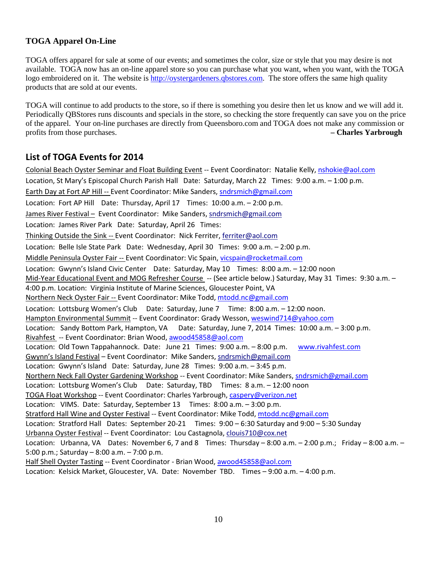# **TOGA Apparel On-Line**

TOGA offers apparel for sale at some of our events; and sometimes the color, size or style that you may desire is not available. TOGA now has an on-line apparel store so you can purchase what you want, when you want, with the TOGA logo embroidered on it. The website is http://oystergardeners.qbstores.com. The store offers the same high quality products that are sold at our events.

TOGA will continue to add products to the store, so if there is something you desire then let us know and we will add it. Periodically QBStores runs discounts and specials in the store, so checking the store frequently can save you on the price of the apparel. Your on-line purchases are directly from Queensboro.com and TOGA does not make any commission or profits from those purchases. **– Charles Yarbrough**

# List of TOGA Events for 2014

Colonial Beach Oyster Seminar and Float Building Event -- Event Coordinator: Natalie Kelly, nshokie@aol.com Location, St Mary's Episcopal Church Parish Hall Date: Saturday, March 22 Times: 9:00 a.m. – 1:00 p.m. Earth Day at Fort AP Hill -- Event Coordinator: Mike Sanders, sndrsmich@gmail.com Location: Fort AP Hill Date: Thursday, April 17 Times: 10:00 a.m. – 2:00 p.m. James River Festival – Event Coordinator: Mike Sanders, sndrsmich@gmail.com Location: James River Park Date: Saturday, April 26 Times: Thinking Outside the Sink -- Event Coordinator: Nick Ferriter, ferriter@aol.com Location: Belle Isle State Park Date: Wednesday, April 30 Times: 9:00 a.m. – 2:00 p.m. Middle Peninsula Oyster Fair -- Event Coordinator: Vic Spain, vicspain@rocketmail.com Location: Gwynn's Island Civic Center Date: Saturday, May 10 Times: 8:00 a.m. – 12:00 noon Mid-Year Educational Event and MOG Refresher Course -- (See article below.) Saturday, May 31 Times: 9:30 a.m. -4:00 p.m. Location: Virginia Institute of Marine Sciences, Gloucester Point, VA Northern Neck Oyster Fair -- Event Coordinator: Mike Todd, mtodd.nc@gmail.com Location: Lottsburg Women's Club Date: Saturday, June 7 Time: 8:00 a.m. - 12:00 noon. Hampton Environmental Summit -- Event Coordinator: Grady Wesson, weswind714@yahoo.com Location: Sandy Bottom Park, Hampton, VA Date: Saturday, June 7, 2014 Times: 10:00 a.m. - 3:00 p.m. Rivahfest -- Event Coordinator: Brian Wood, awood45858@aol.com Location: Old Town Tappahannock. Date: June 21 Times: 9:00 a.m. – 8:00 p.m. www.rivahfest.com Gwynn's Island Festival – Event Coordinator: Mike Sanders, sndrsmich@gmail.com Location: Gwynn's Island Date: Saturday, June 28 Times: 9:00 a.m. – 3:45 p.m. Northern Neck Fall Oyster Gardening Workshop -- Event Coordinator: Mike Sanders, sndrsmich@gmail.com Location: Lottsburg Women's Club Date: Saturday, TBD Times: 8 a.m. – 12:00 noon TOGA Float Workshop -- Event Coordinator: Charles Yarbrough, caspery@verizon.net Location: VIMS. Date: Saturday, September 13 Times: 8:00 a.m. – 3:00 p.m. Stratford Hall Wine and Oyster Festival -- Event Coordinator: Mike Todd, mtodd.nc@gmail.com Location: Stratford Hall Dates: September 20-21 Times: 9:00 – 6:30 Saturday and 9:00 – 5:30 Sunday Urbanna Oyster Festival -- Event Coordinator: Lou Castagnola, clouis710@cox.net Location: Urbanna, VA Dates: November 6, 7 and 8 Times: Thursday – 8:00 a.m. – 2:00 p.m.; Friday – 8:00 a.m. – 5:00 p.m.; Saturday – 8:00 a.m. – 7:00 p.m. Half Shell Oyster Tasting -- Event Coordinator - Brian Wood, awood45858@aol.com

Location: Kelsick Market, Gloucester, VA. Date: November TBD. Times – 9:00 a.m. – 4:00 p.m.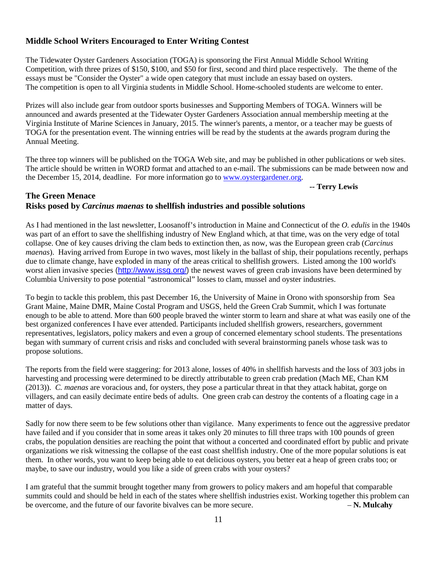# **Middle School Writers Encouraged to Enter Writing Contest**

The Tidewater Oyster Gardeners Association (TOGA) is sponsoring the First Annual Middle School Writing Competition, with three prizes of \$150, \$100, and \$50 for first, second and third place respectively. The theme of the essays must be "Consider the Oyster" a wide open category that must include an essay based on oysters. The competition is open to all Virginia students in Middle School. Home-schooled students are welcome to enter.

Prizes will also include gear from outdoor sports businesses and Supporting Members of TOGA. Winners will be announced and awards presented at the Tidewater Oyster Gardeners Association annual membership meeting at the Virginia Institute of Marine Sciences in January, 2015. The winner's parents, a mentor, or a teacher may be guests of TOGA for the presentation event. The winning entries will be read by the students at the awards program during the Annual Meeting.

The three top winners will be published on the TOGA Web site, and may be published in other publications or web sites. The article should be written in WORD format and attached to an e-mail. The submissions can be made between now and the December 15, 2014, deadline. For more information go to www.oystergardener.org.

 **-- Terry Lewis** 

## **The Green Menace Risks posed by** *Carcinus maenas* **to shellfish industries and possible solutions**

As I had mentioned in the last newsletter, Loosanoff's introduction in Maine and Connecticut of the *O. edulis* in the 1940s was part of an effort to save the shellfishing industry of New England which, at that time, was on the very edge of total collapse. One of key causes driving the clam beds to extinction then, as now, was the European green crab (*Carcinus maenas*). Having arrived from Europe in two waves, most likely in the ballast of ship, their populations recently, perhaps due to climate change, have exploded in many of the areas critical to shellfish growers. Listed among the 100 world's worst alien invasive species (http://www.issq.org/) the newest waves of green crab invasions have been determined by Columbia University to pose potential "astronomical" losses to clam, mussel and oyster industries.

To begin to tackle this problem, this past December 16, the University of Maine in Orono with sponsorship from Sea Grant Maine, Maine DMR, Maine Costal Program and USGS, held the Green Crab Summit, which I was fortunate enough to be able to attend. More than 600 people braved the winter storm to learn and share at what was easily one of the best organized conferences I have ever attended. Participants included shellfish growers, researchers, government representatives, legislators, policy makers and even a group of concerned elementary school students. The presentations began with summary of current crisis and risks and concluded with several brainstorming panels whose task was to propose solutions.

The reports from the field were staggering: for 2013 alone, losses of 40% in shellfish harvests and the loss of 303 jobs in harvesting and processing were determined to be directly attributable to green crab predation (Mach ME, Chan KM (2013)). *C. maenas* are voracious and, for oysters, they pose a particular threat in that they attack habitat, gorge on villagers, and can easily decimate entire beds of adults. One green crab can destroy the contents of a floating cage in a matter of days.

Sadly for now there seem to be few solutions other than vigilance. Many experiments to fence out the aggressive predator have failed and if you consider that in some areas it takes only 20 minutes to fill three traps with 100 pounds of green crabs, the population densities are reaching the point that without a concerted and coordinated effort by public and private organizations we risk witnessing the collapse of the east coast shellfish industry. One of the more popular solutions is eat them. In other words, you want to keep being able to eat delicious oysters, you better eat a heap of green crabs too; or maybe, to save our industry, would you like a side of green crabs with your oysters?

I am grateful that the summit brought together many from growers to policy makers and am hopeful that comparable summits could and should be held in each of the states where shellfish industries exist. Working together this problem can be overcome, and the future of our favorite bivalves can be more secure. – **N. Mulcahy**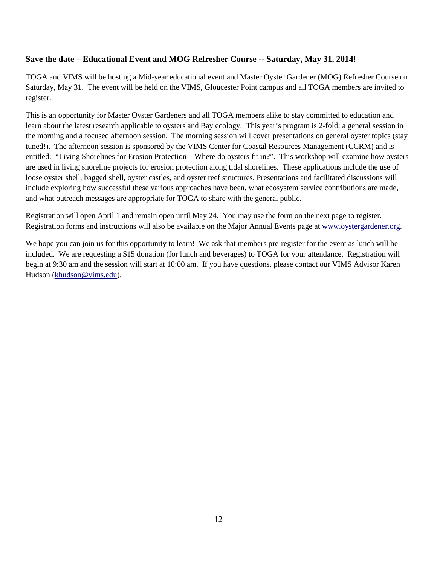# **Save the date – Educational Event and MOG Refresher Course -- Saturday, May 31, 2014!**

TOGA and VIMS will be hosting a Mid-year educational event and Master Oyster Gardener (MOG) Refresher Course on Saturday, May 31. The event will be held on the VIMS, Gloucester Point campus and all TOGA members are invited to register.

This is an opportunity for Master Oyster Gardeners and all TOGA members alike to stay committed to education and learn about the latest research applicable to oysters and Bay ecology. This year's program is 2-fold; a general session in the morning and a focused afternoon session. The morning session will cover presentations on general oyster topics (stay tuned!). The afternoon session is sponsored by the VIMS Center for Coastal Resources Management (CCRM) and is entitled: "Living Shorelines for Erosion Protection – Where do oysters fit in?". This workshop will examine how oysters are used in living shoreline projects for erosion protection along tidal shorelines. These applications include the use of loose oyster shell, bagged shell, oyster castles, and oyster reef structures. Presentations and facilitated discussions will include exploring how successful these various approaches have been, what ecosystem service contributions are made, and what outreach messages are appropriate for TOGA to share with the general public.

Registration will open April 1 and remain open until May 24. You may use the form on the next page to register. Registration forms and instructions will also be available on the Major Annual Events page at www.oystergardener.org.

We hope you can join us for this opportunity to learn! We ask that members pre-register for the event as lunch will be included. We are requesting a \$15 donation (for lunch and beverages) to TOGA for your attendance. Registration will begin at 9:30 am and the session will start at 10:00 am. If you have questions, please contact our VIMS Advisor Karen Hudson (khudson@vims.edu).